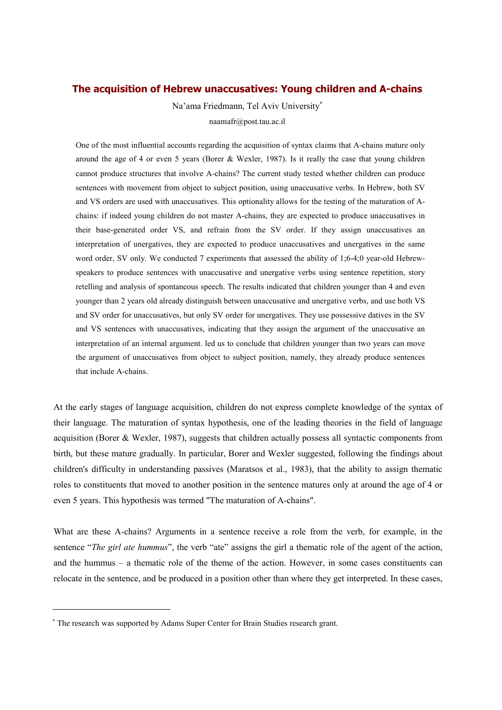# **The acquisition of Hebrew unaccusatives: Young children and A-chains**

Na'ama Friedmann, Tel Aviv University naamafr@post.tau.ac.il

One of the most influential accounts regarding the acquisition of syntax claims that A-chains mature only around the age of 4 or even 5 years (Borer & Wexler, 1987). Is it really the case that young children cannot produce structures that involve A-chains? The current study tested whether children can produce sentences with movement from object to subject position, using unaccusative verbs. In Hebrew, both SV and VS orders are used with unaccusatives. This optionality allows for the testing of the maturation of Achains: if indeed young children do not master A-chains, they are expected to produce unaccusatives in their base-generated order VS, and refrain from the SV order. If they assign unaccusatives an interpretation of unergatives, they are expected to produce unaccusatives and unergatives in the same word order, SV only. We conducted 7 experiments that assessed the ability of 1;6-4;0 year-old Hebrewspeakers to produce sentences with unaccusative and unergative verbs using sentence repetition, story retelling and analysis of spontaneous speech. The results indicated that children younger than 4 and even younger than 2 years old already distinguish between unaccusative and unergative verbs, and use both VS and SV order for unaccusatives, but only SV order for unergatives. They use possessive datives in the SV and VS sentences with unaccusatives, indicating that they assign the argument of the unaccusative an interpretation of an internal argument. led us to conclude that children younger than two years can move the argument of unaccusatives from object to subject position, namely, they already produce sentences that include A-chains.

At the early stages of language acquisition, children do not express complete knowledge of the syntax of their language. The maturation of syntax hypothesis, one of the leading theories in the field of language acquisition (Borer & Wexler, 1987), suggests that children actually possess all syntactic components from birth, but these mature gradually. In particular, Borer and Wexler suggested, following the findings about children's difficulty in understanding passives (Maratsos et al., 1983), that the ability to assign thematic roles to constituents that moved to another position in the sentence matures only at around the age of 4 or even 5 years. This hypothesis was termed "The maturation of A-chains".

What are these A-chains? Arguments in a sentence receive a role from the verb, for example, in the sentence "*The girl ate hummus*", the verb "ate" assigns the girl a thematic role of the agent of the action, and the hummus – a thematic role of the theme of the action. However, in some cases constituents can relocate in the sentence, and be produced in a position other than where they get interpreted. In these cases,

The research was supported by Adams Super Center for Brain Studies research grant.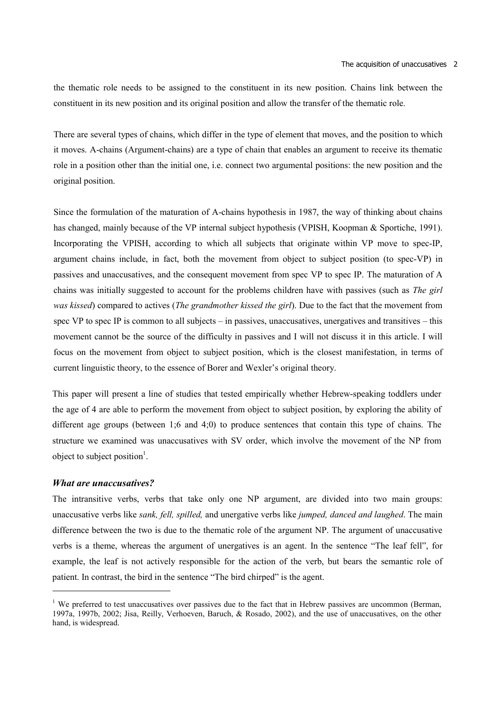the thematic role needs to be assigned to the constituent in its new position. Chains link between the constituent in its new position and its original position and allow the transfer of the thematic role.

There are several types of chains, which differ in the type of element that moves, and the position to which it moves. A-chains (Argument-chains) are a type of chain that enables an argument to receive its thematic role in a position other than the initial one, i.e. connect two argumental positions: the new position and the original position.

Since the formulation of the maturation of A-chains hypothesis in 1987, the way of thinking about chains has changed, mainly because of the VP internal subject hypothesis (VPISH, Koopman & Sportiche, 1991). Incorporating the VPISH, according to which all subjects that originate within VP move to spec-IP, argument chains include, in fact, both the movement from object to subject position (to spec-VP) in passives and unaccusatives, and the consequent movement from spec VP to spec IP. The maturation of A chains was initially suggested to account for the problems children have with passives (such as *The girl was kissed*) compared to actives (*The grandmother kissed the girl*). Due to the fact that the movement from spec VP to spec IP is common to all subjects – in passives, unaccusatives, unergatives and transitives – this movement cannot be the source of the difficulty in passives and I will not discuss it in this article. I will focus on the movement from object to subject position, which is the closest manifestation, in terms of current linguistic theory, to the essence of Borer and Wexler's original theory.

This paper will present a line of studies that tested empirically whether Hebrew-speaking toddlers under the age of 4 are able to perform the movement from object to subject position, by exploring the ability of different age groups (between 1;6 and 4;0) to produce sentences that contain this type of chains. The structure we examined was unaccusatives with SV order, which involve the movement of the NP from object to subject position<sup>1</sup>.

### *What are unaccusatives?*

The intransitive verbs, verbs that take only one NP argument, are divided into two main groups: unaccusative verbs like *sank, fell, spilled,* and unergative verbs like *jumped, danced and laughed*. The main difference between the two is due to the thematic role of the argument NP. The argument of unaccusative verbs is a theme, whereas the argument of unergatives is an agent. In the sentence "The leaf fell", for example, the leaf is not actively responsible for the action of the verb, but bears the semantic role of patient. In contrast, the bird in the sentence "The bird chirped" is the agent.

<sup>&</sup>lt;sup>1</sup> We preferred to test unaccusatives over passives due to the fact that in Hebrew passives are uncommon (Berman, 1997a, 1997b, 2002; Jisa, Reilly, Verhoeven, Baruch, & Rosado, 2002), and the use of unaccusatives, on the other hand, is widespread.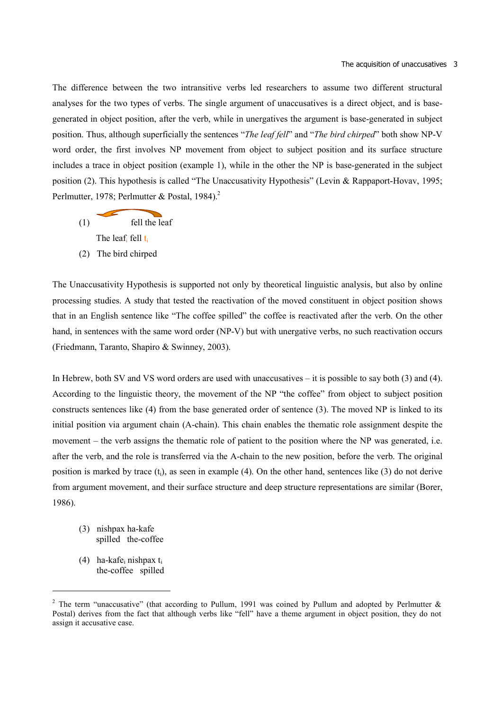The difference between the two intransitive verbs led researchers to assume two different structural analyses for the two types of verbs. The single argument of unaccusatives is a direct object, and is basegenerated in object position, after the verb, while in unergatives the argument is base-generated in subject position. Thus, although superficially the sentences "*The leaf fell*" and "*The bird chirped*" both show NP-V word order, the first involves NP movement from object to subject position and its surface structure includes a trace in object position (example 1), while in the other the NP is base-generated in the subject position (2). This hypothesis is called "The Unaccusativity Hypothesis" (Levin & Rappaport-Hovav, 1995; Perlmutter, 1978; Perlmutter & Postal, 1984).<sup>2</sup>

- (1) fell the leaf The leaf<sub>i</sub> fell t<sub>i</sub>
- (2) The bird chirped

The Unaccusativity Hypothesis is supported not only by theoretical linguistic analysis, but also by online processing studies. A study that tested the reactivation of the moved constituent in object position shows that in an English sentence like "The coffee spilled" the coffee is reactivated after the verb. On the other hand, in sentences with the same word order (NP-V) but with unergative verbs, no such reactivation occurs (Friedmann, Taranto, Shapiro & Swinney, 2003).

In Hebrew, both SV and VS word orders are used with unaccusatives – it is possible to say both (3) and (4). According to the linguistic theory, the movement of the NP "the coffee" from object to subject position constructs sentences like (4) from the base generated order of sentence (3). The moved NP is linked to its initial position via argument chain (A-chain). This chain enables the thematic role assignment despite the movement – the verb assigns the thematic role of patient to the position where the NP was generated, i.e. after the verb, and the role is transferred via the A-chain to the new position, before the verb. The original position is marked by trace  $(t_i)$ , as seen in example (4). On the other hand, sentences like (3) do not derive from argument movement, and their surface structure and deep structure representations are similar (Borer, 1986).

- (3) nishpax ha-kafe spilled the-coffee
- (4) ha-kafei nishpax ti the-coffee spilled

<sup>&</sup>lt;sup>2</sup> The term "unaccusative" (that according to Pullum, 1991 was coined by Pullum and adopted by Perlmutter  $\&$ Postal) derives from the fact that although verbs like "fell" have a theme argument in object position, they do not assign it accusative case.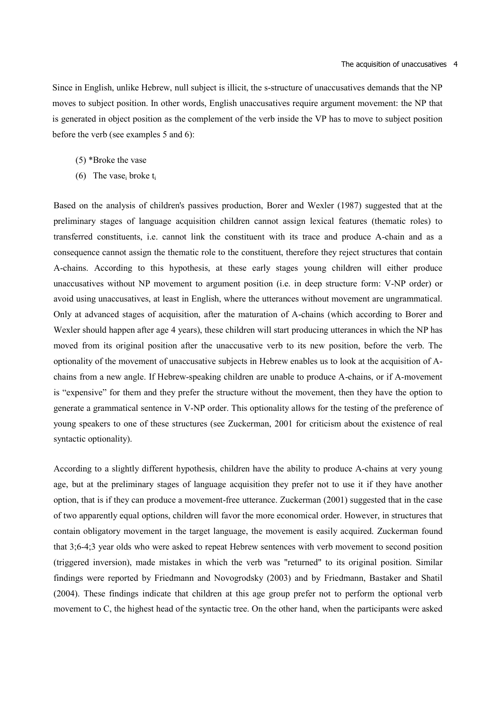Since in English, unlike Hebrew, null subject is illicit, the s-structure of unaccusatives demands that the NP moves to subject position. In other words, English unaccusatives require argument movement: the NP that is generated in object position as the complement of the verb inside the VP has to move to subject position before the verb (see examples 5 and 6):

- (5) \*Broke the vase
- (6) The vase<sub>i</sub> broke  $t_i$

Based on the analysis of children's passives production, Borer and Wexler (1987) suggested that at the preliminary stages of language acquisition children cannot assign lexical features (thematic roles) to transferred constituents, i.e. cannot link the constituent with its trace and produce A-chain and as a consequence cannot assign the thematic role to the constituent, therefore they reject structures that contain A-chains. According to this hypothesis, at these early stages young children will either produce unaccusatives without NP movement to argument position (i.e. in deep structure form: V-NP order) or avoid using unaccusatives, at least in English, where the utterances without movement are ungrammatical. Only at advanced stages of acquisition, after the maturation of A-chains (which according to Borer and Wexler should happen after age 4 years), these children will start producing utterances in which the NP has moved from its original position after the unaccusative verb to its new position, before the verb. The optionality of the movement of unaccusative subjects in Hebrew enables us to look at the acquisition of Achains from a new angle. If Hebrew-speaking children are unable to produce A-chains, or if A-movement is "expensive" for them and they prefer the structure without the movement, then they have the option to generate a grammatical sentence in V-NP order. This optionality allows for the testing of the preference of young speakers to one of these structures (see Zuckerman, 2001 for criticism about the existence of real syntactic optionality).

According to a slightly different hypothesis, children have the ability to produce A-chains at very young age, but at the preliminary stages of language acquisition they prefer not to use it if they have another option, that is if they can produce a movement-free utterance. Zuckerman (2001) suggested that in the case of two apparently equal options, children will favor the more economical order. However, in structures that contain obligatory movement in the target language, the movement is easily acquired. Zuckerman found that 3;6-4;3 year olds who were asked to repeat Hebrew sentences with verb movement to second position (triggered inversion), made mistakes in which the verb was "returned" to its original position. Similar findings were reported by Friedmann and Novogrodsky (2003) and by Friedmann, Bastaker and Shatil (2004). These findings indicate that children at this age group prefer not to perform the optional verb movement to C, the highest head of the syntactic tree. On the other hand, when the participants were asked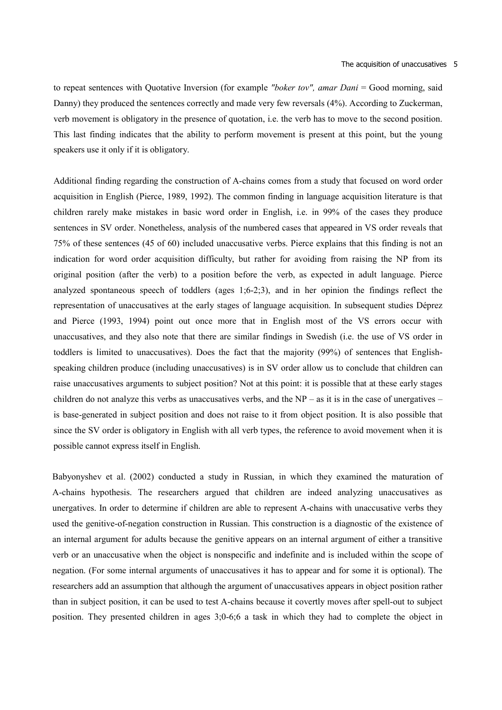to repeat sentences with Quotative Inversion (for example *"boker tov", amar Dani* = Good morning, said Danny) they produced the sentences correctly and made very few reversals (4%). According to Zuckerman, verb movement is obligatory in the presence of quotation, i.e. the verb has to move to the second position. This last finding indicates that the ability to perform movement is present at this point, but the young speakers use it only if it is obligatory.

Additional finding regarding the construction of A-chains comes from a study that focused on word order acquisition in English (Pierce, 1989, 1992). The common finding in language acquisition literature is that children rarely make mistakes in basic word order in English, i.e. in 99% of the cases they produce sentences in SV order. Nonetheless, analysis of the numbered cases that appeared in VS order reveals that 75% of these sentences (45 of 60) included unaccusative verbs. Pierce explains that this finding is not an indication for word order acquisition difficulty, but rather for avoiding from raising the NP from its original position (after the verb) to a position before the verb, as expected in adult language. Pierce analyzed spontaneous speech of toddlers (ages 1;6-2;3), and in her opinion the findings reflect the representation of unaccusatives at the early stages of language acquisition. In subsequent studies Déprez and Pierce (1993, 1994) point out once more that in English most of the VS errors occur with unaccusatives, and they also note that there are similar findings in Swedish (i.e. the use of VS order in toddlers is limited to unaccusatives). Does the fact that the majority (99%) of sentences that Englishspeaking children produce (including unaccusatives) is in SV order allow us to conclude that children can raise unaccusatives arguments to subject position? Not at this point: it is possible that at these early stages children do not analyze this verbs as unaccusatives verbs, and the  $NP -$  as it is in the case of unergatives – is base-generated in subject position and does not raise to it from object position. It is also possible that since the SV order is obligatory in English with all verb types, the reference to avoid movement when it is possible cannot express itself in English.

Babyonyshev et al. (2002) conducted a study in Russian, in which they examined the maturation of A-chains hypothesis. The researchers argued that children are indeed analyzing unaccusatives as unergatives. In order to determine if children are able to represent A-chains with unaccusative verbs they used the genitive-of-negation construction in Russian. This construction is a diagnostic of the existence of an internal argument for adults because the genitive appears on an internal argument of either a transitive verb or an unaccusative when the object is nonspecific and indefinite and is included within the scope of negation. (For some internal arguments of unaccusatives it has to appear and for some it is optional). The researchers add an assumption that although the argument of unaccusatives appears in object position rather than in subject position, it can be used to test A-chains because it covertly moves after spell-out to subject position. They presented children in ages 3;0-6;6 a task in which they had to complete the object in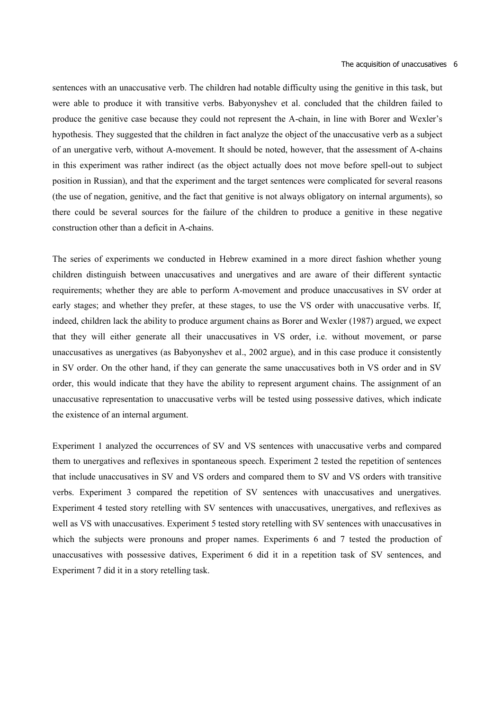sentences with an unaccusative verb. The children had notable difficulty using the genitive in this task, but were able to produce it with transitive verbs. Babyonyshev et al. concluded that the children failed to produce the genitive case because they could not represent the A-chain, in line with Borer and Wexler's hypothesis. They suggested that the children in fact analyze the object of the unaccusative verb as a subject of an unergative verb, without A-movement. It should be noted, however, that the assessment of A-chains in this experiment was rather indirect (as the object actually does not move before spell-out to subject position in Russian), and that the experiment and the target sentences were complicated for several reasons (the use of negation, genitive, and the fact that genitive is not always obligatory on internal arguments), so there could be several sources for the failure of the children to produce a genitive in these negative construction other than a deficit in A-chains.

The series of experiments we conducted in Hebrew examined in a more direct fashion whether young children distinguish between unaccusatives and unergatives and are aware of their different syntactic requirements; whether they are able to perform A-movement and produce unaccusatives in SV order at early stages; and whether they prefer, at these stages, to use the VS order with unaccusative verbs. If, indeed, children lack the ability to produce argument chains as Borer and Wexler (1987) argued, we expect that they will either generate all their unaccusatives in VS order, i.e. without movement, or parse unaccusatives as unergatives (as Babyonyshev et al., 2002 argue), and in this case produce it consistently in SV order. On the other hand, if they can generate the same unaccusatives both in VS order and in SV order, this would indicate that they have the ability to represent argument chains. The assignment of an unaccusative representation to unaccusative verbs will be tested using possessive datives, which indicate the existence of an internal argument.

Experiment 1 analyzed the occurrences of SV and VS sentences with unaccusative verbs and compared them to unergatives and reflexives in spontaneous speech. Experiment 2 tested the repetition of sentences that include unaccusatives in SV and VS orders and compared them to SV and VS orders with transitive verbs. Experiment 3 compared the repetition of SV sentences with unaccusatives and unergatives. Experiment 4 tested story retelling with SV sentences with unaccusatives, unergatives, and reflexives as well as VS with unaccusatives. Experiment 5 tested story retelling with SV sentences with unaccusatives in which the subjects were pronouns and proper names. Experiments 6 and 7 tested the production of unaccusatives with possessive datives, Experiment 6 did it in a repetition task of SV sentences, and Experiment 7 did it in a story retelling task.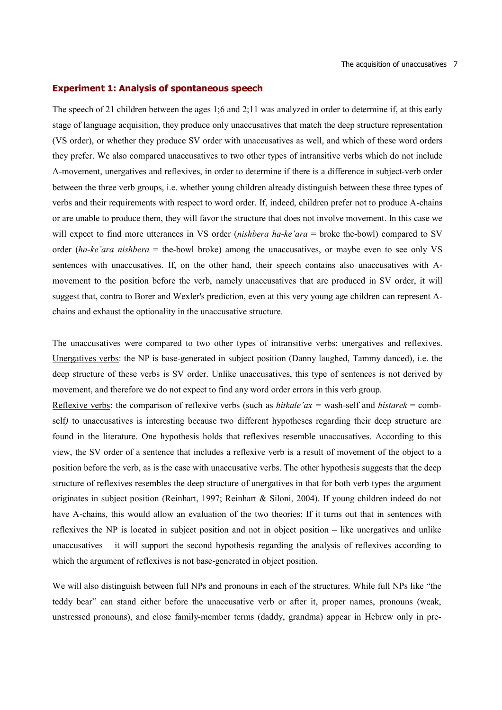#### **Experiment 1: Analysis of spontaneous speech**

The speech of 21 children between the ages 1;6 and 2;11 was analyzed in order to determine if, at this early stage of language acquisition, they produce only unaccusatives that match the deep structure representation (VS order), or whether they produce SV order with unaccusatives as well, and which of these word orders they prefer. We also compared unaccusatives to two other types of intransitive verbs which do not include A-movement, unergatives and reflexives, in order to determine if there is a difference in subject-verb order between the three verb groups, i.e. whether young children already distinguish between these three types of verbs and their requirements with respect to word order. If, indeed, children prefer not to produce A-chains or are unable to produce them, they will favor the structure that does not involve movement. In this case we will expect to find more utterances in VS order (*nishbera ha-ke'ara* = broke the-bowl) compared to SV order (*ha-ke'ara nishbera* = the-bowl broke) among the unaccusatives, or maybe even to see only VS sentences with unaccusatives. If, on the other hand, their speech contains also unaccusatives with Amovement to the position before the verb, namely unaccusatives that are produced in SV order, it will suggest that, contra to Borer and Wexler's prediction, even at this very young age children can represent Achains and exhaust the optionality in the unaccusative structure.

The unaccusatives were compared to two other types of intransitive verbs: unergatives and reflexives. Unergatives verbs: the NP is base-generated in subject position (Danny laughed, Tammy danced), i.e. the deep structure of these verbs is SV order. Unlike unaccusatives, this type of sentences is not derived by movement, and therefore we do not expect to find any word order errors in this verb group.

Reflexive verbs: the comparison of reflexive verbs (such as *hitkale'ax* = wash-self and *histarek* = combself*)* to unaccusatives is interesting because two different hypotheses regarding their deep structure are found in the literature. One hypothesis holds that reflexives resemble unaccusatives. According to this view, the SV order of a sentence that includes a reflexive verb is a result of movement of the object to a position before the verb, as is the case with unaccusative verbs. The other hypothesis suggests that the deep structure of reflexives resembles the deep structure of unergatives in that for both verb types the argument originates in subject position (Reinhart, 1997; Reinhart & Siloni, 2004). If young children indeed do not have A-chains, this would allow an evaluation of the two theories: If it turns out that in sentences with reflexives the NP is located in subject position and not in object position – like unergatives and unlike unaccusatives – it will support the second hypothesis regarding the analysis of reflexives according to which the argument of reflexives is not base-generated in object position.

We will also distinguish between full NPs and pronouns in each of the structures. While full NPs like "the teddy bear" can stand either before the unaccusative verb or after it, proper names, pronouns (weak, unstressed pronouns), and close family-member terms (daddy, grandma) appear in Hebrew only in pre-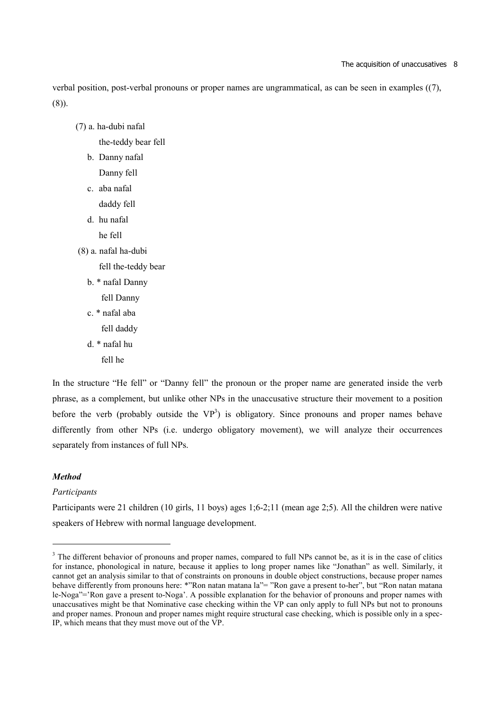#### The acquisition of unaccusatives 8

verbal position, post-verbal pronouns or proper names are ungrammatical, as can be seen in examples ((7), (8)).

(7) a. ha-dubi nafal

the-teddy bear fell

- b. Danny nafal Danny fell
- c. aba nafal daddy fell
- d. hu nafal
	- he fell
- (8) a. nafal ha-dubi
	- fell the-teddy bear
	- b. \* nafal Danny
		- fell Danny
	- c. \* nafal aba fell daddy
	- d. \* nafal hu
		- fell he

In the structure "He fell" or "Danny fell" the pronoun or the proper name are generated inside the verb phrase, as a complement, but unlike other NPs in the unaccusative structure their movement to a position before the verb (probably outside the  $VP<sup>3</sup>$ ) is obligatory. Since pronouns and proper names behave differently from other NPs (i.e. undergo obligatory movement), we will analyze their occurrences separately from instances of full NPs.

## *Method*

### *Participants*

Participants were 21 children (10 girls, 11 boys) ages 1;6-2;11 (mean age 2;5). All the children were native speakers of Hebrew with normal language development.

<sup>&</sup>lt;sup>3</sup> The different behavior of pronouns and proper names, compared to full NPs cannot be, as it is in the case of clitics for instance, phonological in nature, because it applies to long proper names like "Jonathan" as well. Similarly, it cannot get an analysis similar to that of constraints on pronouns in double object constructions, because proper names behave differently from pronouns here: \*"Ron natan matana la"= "Ron gave a present to-her", but "Ron natan matana le-Noga"='Ron gave a present to-Noga'. A possible explanation for the behavior of pronouns and proper names with unaccusatives might be that Nominative case checking within the VP can only apply to full NPs but not to pronouns and proper names. Pronoun and proper names might require structural case checking, which is possible only in a spec-IP, which means that they must move out of the VP.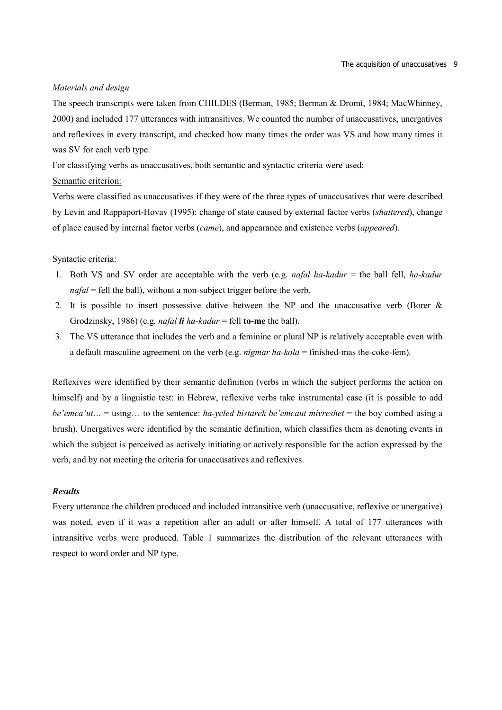### *Materials and design*

The speech transcripts were taken from CHILDES (Berman, 1985; Berman & Dromi, 1984; MacWhinney, 2000) and included 177 utterances with intransitives. We counted the number of unaccusatives, unergatives and reflexives in every transcript, and checked how many times the order was VS and how many times it was SV for each verb type.

For classifying verbs as unaccusatives, both semantic and syntactic criteria were used:

# Semantic criterion:

Verbs were classified as unaccusatives if they were of the three types of unaccusatives that were described by Levin and Rappaport-Hovav (1995): change of state caused by external factor verbs (*shattered*), change of place caused by internal factor verbs (*came*), and appearance and existence verbs (*appeared*).

### Syntactic criteria:

- 1. Both VS and SV order are acceptable with the verb (e.g. *nafal ha-kadur* = the ball fell, *ha-kadur nafal* = fell the ball), without a non-subject trigger before the verb.
- 2. It is possible to insert possessive dative between the NP and the unaccusative verb (Borer  $\&$ Grodzinsky, 1986) (e.g. *nafal li ha-kadur* = fell **to-me** the ball).
- 3. The VS utterance that includes the verb and a feminine or plural NP is relatively acceptable even with a default masculine agreement on the verb (e.g. *nigmar ha-kola* = finished-mas the-coke-fem).

Reflexives were identified by their semantic definition (verbs in which the subject performs the action on himself) and by a linguistic test: in Hebrew, reflexive verbs take instrumental case (it is possible to add *be'emca'ut…* = using… to the sentence: *ha-yeled histarek be'emcaut mivreshet* = the boy combed using a brush). Unergatives were identified by the semantic definition, which classifies them as denoting events in which the subject is perceived as actively initiating or actively responsible for the action expressed by the verb, and by not meeting the criteria for unaccusatives and reflexives.

#### *Results*

Every utterance the children produced and included intransitive verb (unaccusative, reflexive or unergative) was noted, even if it was a repetition after an adult or after himself. A total of 177 utterances with intransitive verbs were produced. Table 1 summarizes the distribution of the relevant utterances with respect to word order and NP type.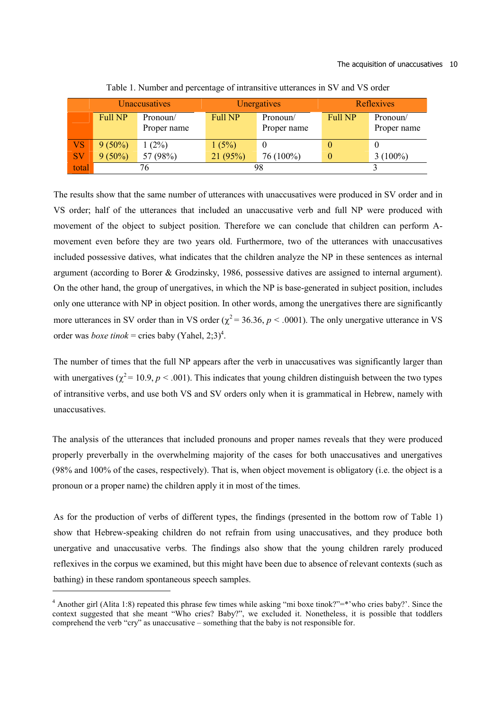#### The acquisition of unaccusatives 10

|           | Unaccusatives  |             |                | Unergatives | <b>Reflexives</b> |             |  |
|-----------|----------------|-------------|----------------|-------------|-------------------|-------------|--|
|           | <b>Full NP</b> | Pronoun/    | <b>Full NP</b> | Pronoun/    | <b>Full NP</b>    | Pronoun/    |  |
|           |                | Proper name |                | Proper name |                   | Proper name |  |
| <b>VS</b> | $9(50\%)$      | $1(2\%)$    | 1(5%)          |             | O                 |             |  |
| <b>SV</b> | $9(50\%)$      | 57 (98%)    | 21(95%)        | 76 (100%)   | $\theta$          | $3(100\%)$  |  |
| total     |                | 76          |                | 98          |                   |             |  |

Table 1. Number and percentage of intransitive utterances in SV and VS order

The results show that the same number of utterances with unaccusatives were produced in SV order and in VS order; half of the utterances that included an unaccusative verb and full NP were produced with movement of the object to subject position. Therefore we can conclude that children can perform Amovement even before they are two years old. Furthermore, two of the utterances with unaccusatives included possessive datives, what indicates that the children analyze the NP in these sentences as internal argument (according to Borer & Grodzinsky, 1986, possessive datives are assigned to internal argument). On the other hand, the group of unergatives, in which the NP is base-generated in subject position, includes only one utterance with NP in object position. In other words, among the unergatives there are significantly more utterances in SV order than in VS order ( $\chi^2$  = 36.36,  $p$  < .0001). The only unergative utterance in VS order was *boxe tinok* = cries baby (Yahel, 2;3)<sup>4</sup>.

The number of times that the full NP appears after the verb in unaccusatives was significantly larger than with unergatives ( $\chi^2$  = 10.9, *p* < .001). This indicates that young children distinguish between the two types of intransitive verbs, and use both VS and SV orders only when it is grammatical in Hebrew, namely with unaccusatives.

The analysis of the utterances that included pronouns and proper names reveals that they were produced properly preverbally in the overwhelming majority of the cases for both unaccusatives and unergatives (98% and 100% of the cases, respectively). That is, when object movement is obligatory (i.e. the object is a pronoun or a proper name) the children apply it in most of the times.

As for the production of verbs of different types, the findings (presented in the bottom row of Table 1) show that Hebrew-speaking children do not refrain from using unaccusatives, and they produce both unergative and unaccusative verbs. The findings also show that the young children rarely produced reflexives in the corpus we examined, but this might have been due to absence of relevant contexts (such as bathing) in these random spontaneous speech samples.

<sup>&</sup>lt;sup>4</sup> Another girl (Alita 1:8) repeated this phrase few times while asking "mi boxe tinok?"=\*'who cries baby?'. Since the context suggested that she meant "Who cries? Baby?", we excluded it. Nonetheless, it is possible that toddlers comprehend the verb "cry" as unaccusative – something that the baby is not responsible for.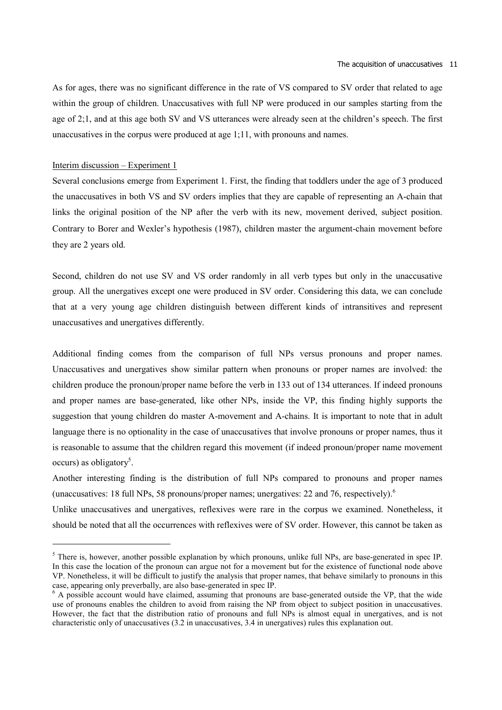As for ages, there was no significant difference in the rate of VS compared to SV order that related to age within the group of children. Unaccusatives with full NP were produced in our samples starting from the age of 2;1, and at this age both SV and VS utterances were already seen at the children's speech. The first unaccusatives in the corpus were produced at age 1;11, with pronouns and names.

## Interim discussion – Experiment 1

Several conclusions emerge from Experiment 1. First, the finding that toddlers under the age of 3 produced the unaccusatives in both VS and SV orders implies that they are capable of representing an A-chain that links the original position of the NP after the verb with its new, movement derived, subject position. Contrary to Borer and Wexler's hypothesis (1987), children master the argument-chain movement before they are 2 years old.

Second, children do not use SV and VS order randomly in all verb types but only in the unaccusative group. All the unergatives except one were produced in SV order. Considering this data, we can conclude that at a very young age children distinguish between different kinds of intransitives and represent unaccusatives and unergatives differently.

Additional finding comes from the comparison of full NPs versus pronouns and proper names. Unaccusatives and unergatives show similar pattern when pronouns or proper names are involved: the children produce the pronoun/proper name before the verb in 133 out of 134 utterances. If indeed pronouns and proper names are base-generated, like other NPs, inside the VP, this finding highly supports the suggestion that young children do master A-movement and A-chains. It is important to note that in adult language there is no optionality in the case of unaccusatives that involve pronouns or proper names, thus it is reasonable to assume that the children regard this movement (if indeed pronoun/proper name movement occurs) as obligatory<sup>5</sup>.

Another interesting finding is the distribution of full NPs compared to pronouns and proper names (unaccusatives: 18 full NPs, 58 pronouns/proper names; unergatives: 22 and 76, respectively).<sup>6</sup>

Unlike unaccusatives and unergatives, reflexives were rare in the corpus we examined. Nonetheless, it should be noted that all the occurrences with reflexives were of SV order. However, this cannot be taken as

<sup>&</sup>lt;sup>5</sup> There is, however, another possible explanation by which pronouns, unlike full NPs, are base-generated in spec IP. In this case the location of the pronoun can argue not for a movement but for the existence of functional node above VP. Nonetheless, it will be difficult to justify the analysis that proper names, that behave similarly to pronouns in this case, appearing only preverbally, are also base-generated in spec IP.

<sup>&</sup>lt;sup>6</sup> A possible account would have claimed, assuming that pronouns are base-generated outside the VP, that the wide use of pronouns enables the children to avoid from raising the NP from object to subject position in unaccusatives. However, the fact that the distribution ratio of pronouns and full NPs is almost equal in unergatives, and is not characteristic only of unaccusatives (3.2 in unaccusatives, 3.4 in unergatives) rules this explanation out.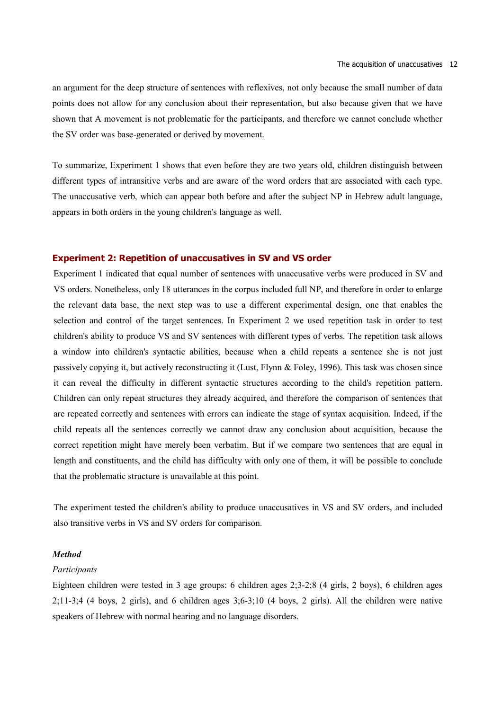an argument for the deep structure of sentences with reflexives, not only because the small number of data points does not allow for any conclusion about their representation, but also because given that we have shown that A movement is not problematic for the participants, and therefore we cannot conclude whether the SV order was base-generated or derived by movement.

To summarize, Experiment 1 shows that even before they are two years old, children distinguish between different types of intransitive verbs and are aware of the word orders that are associated with each type. The unaccusative verb, which can appear both before and after the subject NP in Hebrew adult language, appears in both orders in the young children's language as well.

### **Experiment 2: Repetition of unaccusatives in SV and VS order**

Experiment 1 indicated that equal number of sentences with unaccusative verbs were produced in SV and VS orders. Nonetheless, only 18 utterances in the corpus included full NP, and therefore in order to enlarge the relevant data base, the next step was to use a different experimental design, one that enables the selection and control of the target sentences. In Experiment 2 we used repetition task in order to test children's ability to produce VS and SV sentences with different types of verbs. The repetition task allows a window into children's syntactic abilities, because when a child repeats a sentence she is not just passively copying it, but actively reconstructing it (Lust, Flynn & Foley, 1996). This task was chosen since it can reveal the difficulty in different syntactic structures according to the child's repetition pattern. Children can only repeat structures they already acquired, and therefore the comparison of sentences that are repeated correctly and sentences with errors can indicate the stage of syntax acquisition. Indeed, if the child repeats all the sentences correctly we cannot draw any conclusion about acquisition, because the correct repetition might have merely been verbatim. But if we compare two sentences that are equal in length and constituents, and the child has difficulty with only one of them, it will be possible to conclude that the problematic structure is unavailable at this point.

The experiment tested the children's ability to produce unaccusatives in VS and SV orders, and included also transitive verbs in VS and SV orders for comparison.

#### *Method*

#### *Participants*

Eighteen children were tested in 3 age groups: 6 children ages 2;3-2;8 (4 girls, 2 boys), 6 children ages  $2;11-3;4$  (4 boys, 2 girls), and 6 children ages  $3;6-3;10$  (4 boys, 2 girls). All the children were native speakers of Hebrew with normal hearing and no language disorders.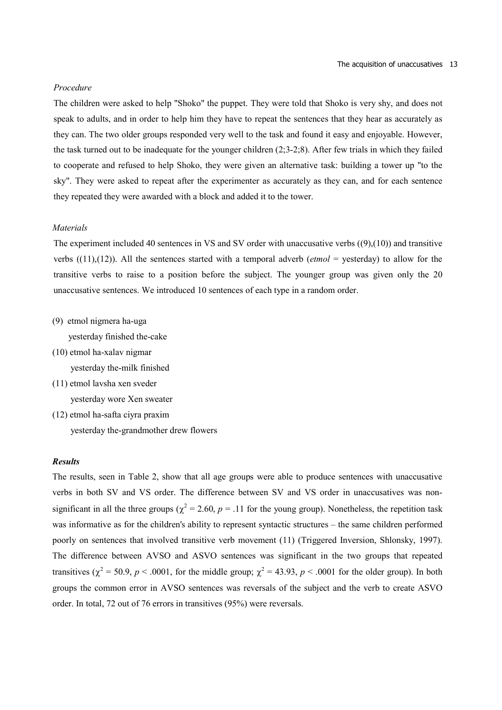### *Procedure*

The children were asked to help "Shoko" the puppet. They were told that Shoko is very shy, and does not speak to adults, and in order to help him they have to repeat the sentences that they hear as accurately as they can. The two older groups responded very well to the task and found it easy and enjoyable. However, the task turned out to be inadequate for the younger children (2;3-2;8). After few trials in which they failed to cooperate and refused to help Shoko, they were given an alternative task: building a tower up "to the sky". They were asked to repeat after the experimenter as accurately as they can, and for each sentence they repeated they were awarded with a block and added it to the tower.

### *Materials*

The experiment included 40 sentences in VS and SV order with unaccusative verbs  $((9),(10))$  and transitive verbs  $((11),(12))$ . All the sentences started with a temporal adverb (*etmol* = yesterday) to allow for the transitive verbs to raise to a position before the subject. The younger group was given only the 20 unaccusative sentences. We introduced 10 sentences of each type in a random order.

(9) etmol nigmera ha-uga

yesterday finished the-cake

(10) etmol ha-xalav nigmar

yesterday the-milk finished

(11) etmol lavsha xen sveder

yesterday wore Xen sweater

(12) etmol ha-safta ciyra praxim yesterday the-grandmother drew flowers

### *Results*

The results, seen in Table 2, show that all age groups were able to produce sentences with unaccusative verbs in both SV and VS order. The difference between SV and VS order in unaccusatives was nonsignificant in all the three groups ( $\chi^2$  = 2.60, *p* = .11 for the young group). Nonetheless, the repetition task was informative as for the children's ability to represent syntactic structures – the same children performed poorly on sentences that involved transitive verb movement (11) (Triggered Inversion, Shlonsky, 1997). The difference between AVSO and ASVO sentences was significant in the two groups that repeated transitives ( $\chi^2$  = 50.9, *p* < .0001, for the middle group;  $\chi^2$  = 43.93, *p* < .0001 for the older group). In both groups the common error in AVSO sentences was reversals of the subject and the verb to create ASVO order. In total, 72 out of 76 errors in transitives (95%) were reversals.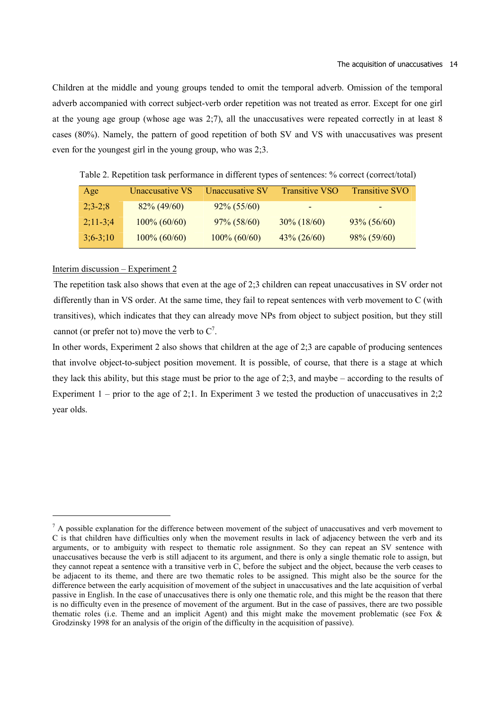Children at the middle and young groups tended to omit the temporal adverb. Omission of the temporal adverb accompanied with correct subject-verb order repetition was not treated as error. Except for one girl at the young age group (whose age was 2;7), all the unaccusatives were repeated correctly in at least 8 cases (80%). Namely, the pattern of good repetition of both SV and VS with unaccusatives was present even for the youngest girl in the young group, who was 2;3.

| Age        | Unaccusative VS | Unaccusative SV | <b>Transitive VSO</b> | <b>Transitive SVO</b>    |
|------------|-----------------|-----------------|-----------------------|--------------------------|
| $2;3-2;8$  | $82\% (49/60)$  | $92\% (55/60)$  | -                     | $\overline{\phantom{0}}$ |
| $2:11-3:4$ | $100\% (60/60)$ | $97\% (58/60)$  | $30\% (18/60)$        | $93\% (56/60)$           |
| $3;6-3;10$ | $100\% (60/60)$ | $100\% (60/60)$ | $43\% (26/60)$        | $98\% (59/60)$           |

Table 2. Repetition task performance in different types of sentences: % correct (correct/total)

#### Interim discussion – Experiment 2

The repetition task also shows that even at the age of 2;3 children can repeat unaccusatives in SV order not differently than in VS order. At the same time, they fail to repeat sentences with verb movement to C (with transitives), which indicates that they can already move NPs from object to subject position, but they still cannot (or prefer not to) move the verb to  $C^7$ .

In other words, Experiment 2 also shows that children at the age of 2;3 are capable of producing sentences that involve object-to-subject position movement. It is possible, of course, that there is a stage at which they lack this ability, but this stage must be prior to the age of 2;3, and maybe – according to the results of Experiment  $1$  – prior to the age of 2;1. In Experiment 3 we tested the production of unaccusatives in 2;2 year olds.

 $<sup>7</sup>$  A possible explanation for the difference between movement of the subject of unaccusatives and verb movement to</sup> C is that children have difficulties only when the movement results in lack of adjacency between the verb and its arguments, or to ambiguity with respect to thematic role assignment. So they can repeat an SV sentence with unaccusatives because the verb is still adjacent to its argument, and there is only a single thematic role to assign, but they cannot repeat a sentence with a transitive verb in C, before the subject and the object, because the verb ceases to be adjacent to its theme, and there are two thematic roles to be assigned. This might also be the source for the difference between the early acquisition of movement of the subject in unaccusatives and the late acquisition of verbal passive in English. In the case of unaccusatives there is only one thematic role, and this might be the reason that there is no difficulty even in the presence of movement of the argument. But in the case of passives, there are two possible thematic roles (i.e. Theme and an implicit Agent) and this might make the movement problematic (see Fox & Grodzinsky 1998 for an analysis of the origin of the difficulty in the acquisition of passive).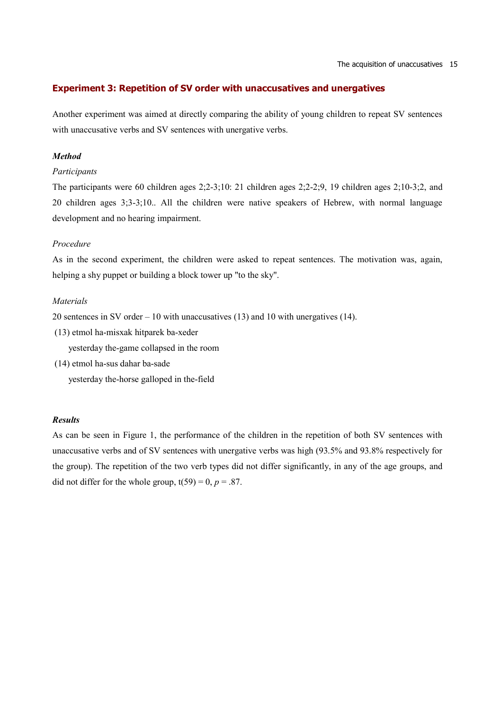# **Experiment 3: Repetition of SV order with unaccusatives and unergatives**

Another experiment was aimed at directly comparing the ability of young children to repeat SV sentences with unaccusative verbs and SV sentences with unergative verbs.

### *Method*

# *Participants*

The participants were 60 children ages 2;2-3;10: 21 children ages 2;2-2;9, 19 children ages 2;10-3;2, and 20 children ages 3;3-3;10.. All the children were native speakers of Hebrew, with normal language development and no hearing impairment.

### *Procedure*

As in the second experiment, the children were asked to repeat sentences. The motivation was, again, helping a shy puppet or building a block tower up "to the sky".

# *Materials*

20 sentences in SV order – 10 with unaccusatives (13) and 10 with unergatives (14).

(13) etmol ha-misxak hitparek ba-xeder

yesterday the-game collapsed in the room

 (14) etmol ha-sus dahar ba-sade yesterday the-horse galloped in the-field

## *Results*

As can be seen in Figure 1, the performance of the children in the repetition of both SV sentences with unaccusative verbs and of SV sentences with unergative verbs was high (93.5% and 93.8% respectively for the group). The repetition of the two verb types did not differ significantly, in any of the age groups, and did not differ for the whole group,  $t(59) = 0$ ,  $p = .87$ .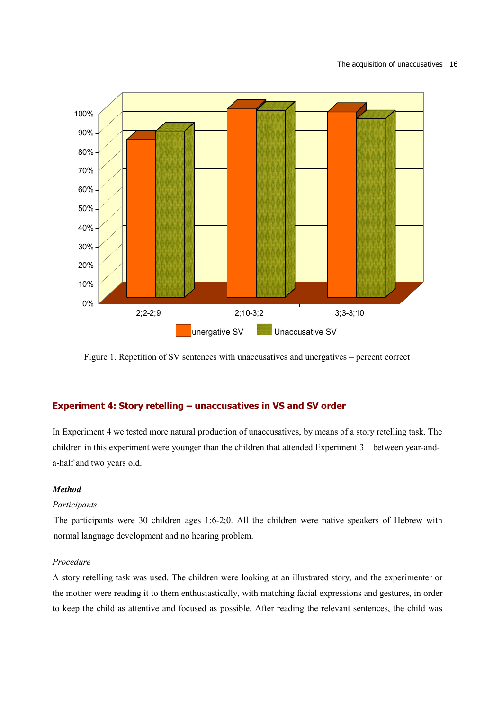

Figure 1. Repetition of SV sentences with unaccusatives and unergatives – percent correct

# **Experiment 4: Story retelling – unaccusatives in VS and SV order**

In Experiment 4 we tested more natural production of unaccusatives, by means of a story retelling task. The children in this experiment were younger than the children that attended Experiment 3 – between year-anda-half and two years old.

# *Method*

# *Participants*

The participants were 30 children ages 1;6-2;0. All the children were native speakers of Hebrew with normal language development and no hearing problem.

# *Procedure*

A story retelling task was used. The children were looking at an illustrated story, and the experimenter or the mother were reading it to them enthusiastically, with matching facial expressions and gestures, in order to keep the child as attentive and focused as possible. After reading the relevant sentences, the child was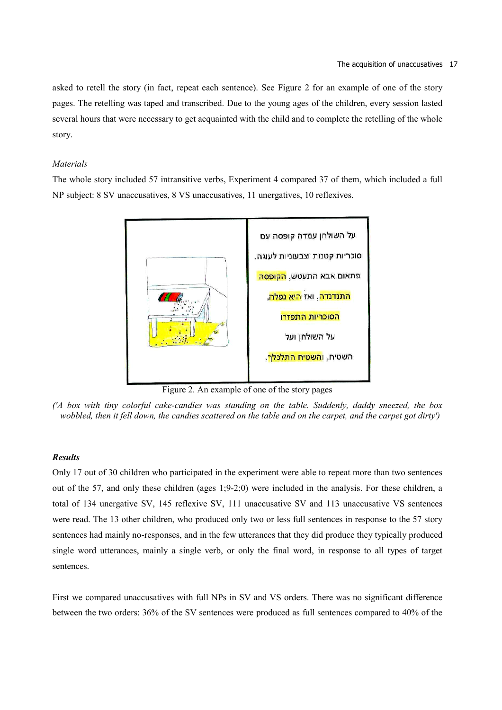asked to retell the story (in fact, repeat each sentence). See Figure 2 for an example of one of the story pages. The retelling was taped and transcribed. Due to the young ages of the children, every session lasted several hours that were necessary to get acquainted with the child and to complete the retelling of the whole story.

# *Materials*

The whole story included 57 intransitive verbs, Experiment 4 compared 37 of them, which included a full NP subject: 8 SV unaccusatives, 8 VS unaccusatives, 11 unergatives, 10 reflexives.



Figure 2. An example of one of the story pages

*('A box with tiny colorful cake-candies was standing on the table. Suddenly, daddy sneezed, the box wobbled, then it fell down, the candies scattered on the table and on the carpet, and the carpet got dirty')* 

### *Results*

Only 17 out of 30 children who participated in the experiment were able to repeat more than two sentences out of the 57, and only these children (ages 1;9-2;0) were included in the analysis. For these children, a total of 134 unergative SV, 145 reflexive SV, 111 unaccusative SV and 113 unaccusative VS sentences were read. The 13 other children, who produced only two or less full sentences in response to the 57 story sentences had mainly no-responses, and in the few utterances that they did produce they typically produced single word utterances, mainly a single verb, or only the final word, in response to all types of target sentences.

First we compared unaccusatives with full NPs in SV and VS orders. There was no significant difference between the two orders: 36% of the SV sentences were produced as full sentences compared to 40% of the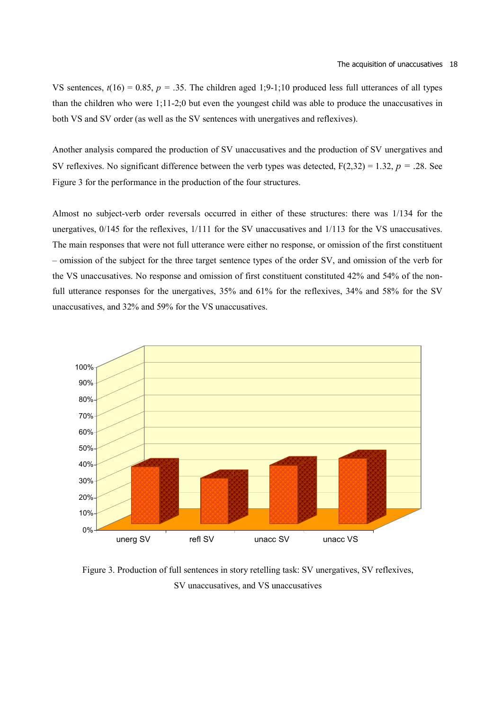VS sentences,  $t(16) = 0.85$ ,  $p = .35$ . The children aged 1;9-1;10 produced less full utterances of all types than the children who were 1;11-2;0 but even the youngest child was able to produce the unaccusatives in both VS and SV order (as well as the SV sentences with unergatives and reflexives).

Another analysis compared the production of SV unaccusatives and the production of SV unergatives and SV reflexives. No significant difference between the verb types was detected,  $F(2,32) = 1.32$ ,  $p = .28$ . See Figure 3 for the performance in the production of the four structures.

Almost no subject-verb order reversals occurred in either of these structures: there was 1/134 for the unergatives, 0/145 for the reflexives, 1/111 for the SV unaccusatives and 1/113 for the VS unaccusatives. The main responses that were not full utterance were either no response, or omission of the first constituent – omission of the subject for the three target sentence types of the order SV, and omission of the verb for the VS unaccusatives. No response and omission of first constituent constituted 42% and 54% of the nonfull utterance responses for the unergatives, 35% and 61% for the reflexives, 34% and 58% for the SV unaccusatives, and 32% and 59% for the VS unaccusatives.



Figure 3. Production of full sentences in story retelling task: SV unergatives, SV reflexives, SV unaccusatives, and VS unaccusatives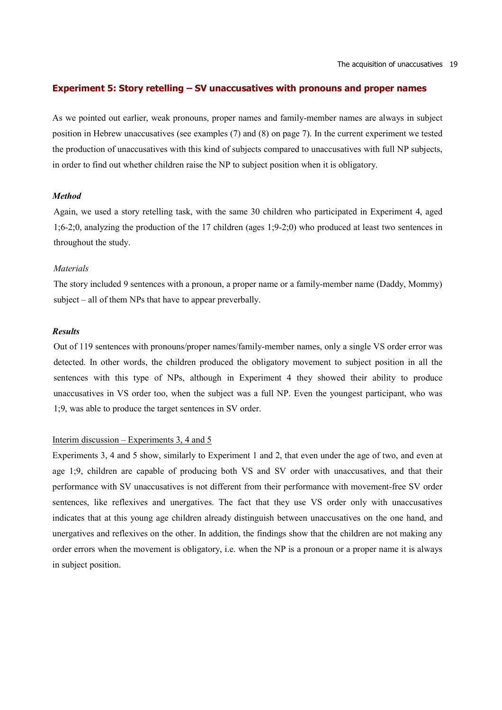# **Experiment 5: Story retelling – SV unaccusatives with pronouns and proper names**

As we pointed out earlier, weak pronouns, proper names and family-member names are always in subject position in Hebrew unaccusatives (see examples (7) and (8) on page 7). In the current experiment we tested the production of unaccusatives with this kind of subjects compared to unaccusatives with full NP subjects, in order to find out whether children raise the NP to subject position when it is obligatory.

#### *Method*

Again, we used a story retelling task, with the same 30 children who participated in Experiment 4, aged 1;6-2;0, analyzing the production of the 17 children (ages 1;9-2;0) who produced at least two sentences in throughout the study.

#### *Materials*

The story included 9 sentences with a pronoun, a proper name or a family-member name (Daddy, Mommy) subject – all of them NPs that have to appear preverbally.

## *Results*

Out of 119 sentences with pronouns/proper names/family-member names, only a single VS order error was detected. In other words, the children produced the obligatory movement to subject position in all the sentences with this type of NPs, although in Experiment 4 they showed their ability to produce unaccusatives in VS order too, when the subject was a full NP. Even the youngest participant, who was 1;9, was able to produce the target sentences in SV order.

#### Interim discussion – Experiments 3, 4 and 5

Experiments 3, 4 and 5 show, similarly to Experiment 1 and 2, that even under the age of two, and even at age 1;9, children are capable of producing both VS and SV order with unaccusatives, and that their performance with SV unaccusatives is not different from their performance with movement-free SV order sentences, like reflexives and unergatives. The fact that they use VS order only with unaccusatives indicates that at this young age children already distinguish between unaccusatives on the one hand, and unergatives and reflexives on the other. In addition, the findings show that the children are not making any order errors when the movement is obligatory, i.e. when the NP is a pronoun or a proper name it is always in subject position.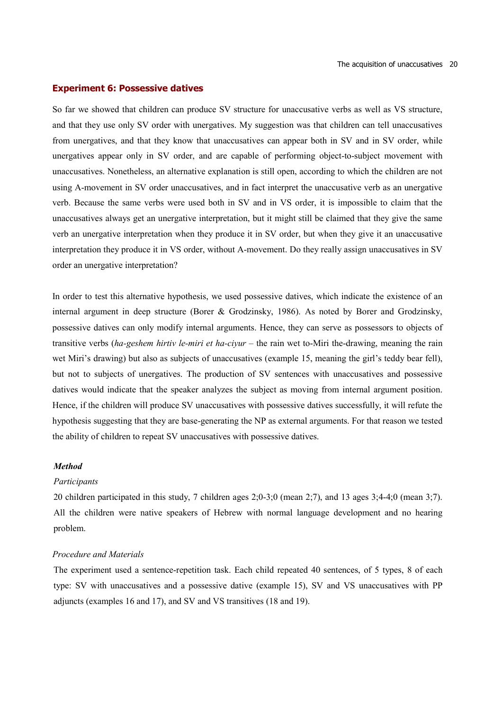### **Experiment 6: Possessive datives**

So far we showed that children can produce SV structure for unaccusative verbs as well as VS structure, and that they use only SV order with unergatives. My suggestion was that children can tell unaccusatives from unergatives, and that they know that unaccusatives can appear both in SV and in SV order, while unergatives appear only in SV order, and are capable of performing object-to-subject movement with unaccusatives. Nonetheless, an alternative explanation is still open, according to which the children are not using A-movement in SV order unaccusatives, and in fact interpret the unaccusative verb as an unergative verb. Because the same verbs were used both in SV and in VS order, it is impossible to claim that the unaccusatives always get an unergative interpretation, but it might still be claimed that they give the same verb an unergative interpretation when they produce it in SV order, but when they give it an unaccusative interpretation they produce it in VS order, without A-movement. Do they really assign unaccusatives in SV order an unergative interpretation?

In order to test this alternative hypothesis, we used possessive datives, which indicate the existence of an internal argument in deep structure (Borer & Grodzinsky, 1986). As noted by Borer and Grodzinsky, possessive datives can only modify internal arguments. Hence, they can serve as possessors to objects of transitive verbs (*ha-geshem hirtiv le-miri et ha-ciyur* – the rain wet to-Miri the-drawing, meaning the rain wet Miri's drawing) but also as subjects of unaccusatives (example 15, meaning the girl's teddy bear fell), but not to subjects of unergatives. The production of SV sentences with unaccusatives and possessive datives would indicate that the speaker analyzes the subject as moving from internal argument position. Hence, if the children will produce SV unaccusatives with possessive datives successfully, it will refute the hypothesis suggesting that they are base-generating the NP as external arguments. For that reason we tested the ability of children to repeat SV unaccusatives with possessive datives.

#### *Method*

#### *Participants*

20 children participated in this study, 7 children ages 2;0-3;0 (mean 2;7), and 13 ages 3;4-4;0 (mean 3;7). All the children were native speakers of Hebrew with normal language development and no hearing problem.

#### *Procedure and Materials*

The experiment used a sentence-repetition task. Each child repeated 40 sentences, of 5 types, 8 of each type: SV with unaccusatives and a possessive dative (example 15), SV and VS unaccusatives with PP adjuncts (examples 16 and 17), and SV and VS transitives (18 and 19).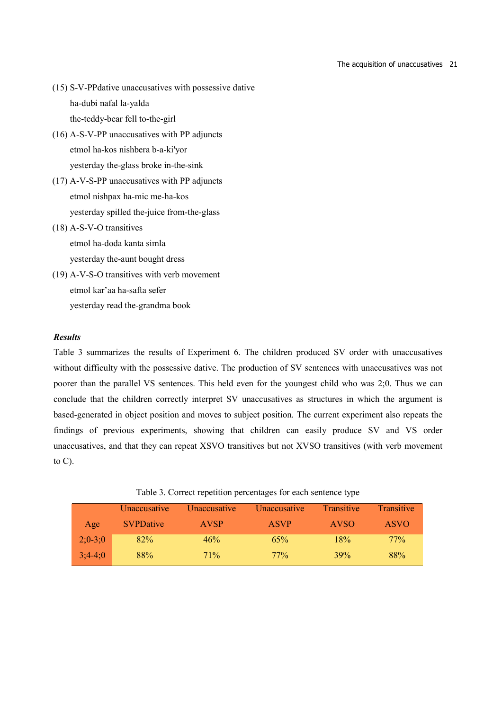#### The acquisition of unaccusatives 21

- (15) S-V-PPdative unaccusatives with possessive dative ha-dubi nafal la-yalda the-teddy-bear fell to-the-girl
- (16) A-S-V-PP unaccusatives with PP adjuncts etmol ha-kos nishbera b-a-ki'yor yesterday the-glass broke in-the-sink
- (17) A-V-S-PP unaccusatives with PP adjuncts etmol nishpax ha-mic me-ha-kos yesterday spilled the-juice from-the-glass
- (18) A-S-V-O transitives etmol ha-doda kanta simla yesterday the-aunt bought dress
- (19) A-V-S-O transitives with verb movement etmol kar'aa ha-safta sefer yesterday read the-grandma book

# *Results*

Table 3 summarizes the results of Experiment 6. The children produced SV order with unaccusatives without difficulty with the possessive dative. The production of SV sentences with unaccusatives was not poorer than the parallel VS sentences. This held even for the youngest child who was 2;0. Thus we can conclude that the children correctly interpret SV unaccusatives as structures in which the argument is based-generated in object position and moves to subject position. The current experiment also repeats the findings of previous experiments, showing that children can easily produce SV and VS order unaccusatives, and that they can repeat XSVO transitives but not XVSO transitives (with verb movement to  $C$ ).

|  | Table 3. Correct repetition percentages for each sentence type |  |  |
|--|----------------------------------------------------------------|--|--|
|  |                                                                |  |  |

|           | Unaccusative     | <i><u><b>Unaccusative</b></u></i> | <i><u><b>Unaccusative</b></u></i> | Transitive  | Transitive  |
|-----------|------------------|-----------------------------------|-----------------------------------|-------------|-------------|
| Age       | <b>SVPDative</b> | <b>AVSP</b>                       | <b>ASVP</b>                       | <b>AVSO</b> | <b>ASVO</b> |
| $2:0-3:0$ | 82%              | 46%                               | 65%                               | 18%         | $77\%$      |
| $3:4-4:0$ | 88%              | 71%                               | $77\%$                            | 39%         | 88%         |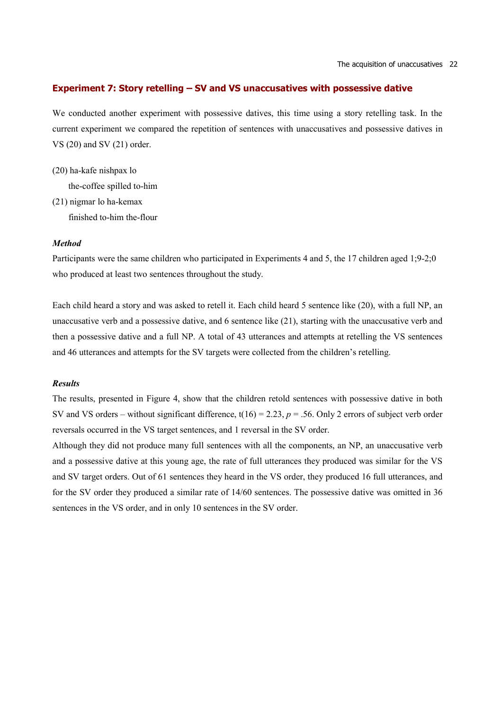# **Experiment 7: Story retelling – SV and VS unaccusatives with possessive dative**

We conducted another experiment with possessive datives, this time using a story retelling task. In the current experiment we compared the repetition of sentences with unaccusatives and possessive datives in VS (20) and SV (21) order.

(20) ha-kafe nishpax lo the-coffee spilled to-him (21) nigmar lo ha-kemax

finished to-him the-flour

#### *Method*

Participants were the same children who participated in Experiments 4 and 5, the 17 children aged 1;9-2;0 who produced at least two sentences throughout the study.

Each child heard a story and was asked to retell it. Each child heard 5 sentence like (20), with a full NP, an unaccusative verb and a possessive dative, and 6 sentence like (21), starting with the unaccusative verb and then a possessive dative and a full NP. A total of 43 utterances and attempts at retelling the VS sentences and 46 utterances and attempts for the SV targets were collected from the children's retelling.

# *Results*

The results, presented in Figure 4, show that the children retold sentences with possessive dative in both SV and VS orders – without significant difference,  $t(16) = 2.23$ ,  $p = .56$ . Only 2 errors of subject verb order reversals occurred in the VS target sentences, and 1 reversal in the SV order.

Although they did not produce many full sentences with all the components, an NP, an unaccusative verb and a possessive dative at this young age, the rate of full utterances they produced was similar for the VS and SV target orders. Out of 61 sentences they heard in the VS order, they produced 16 full utterances, and for the SV order they produced a similar rate of 14/60 sentences. The possessive dative was omitted in 36 sentences in the VS order, and in only 10 sentences in the SV order.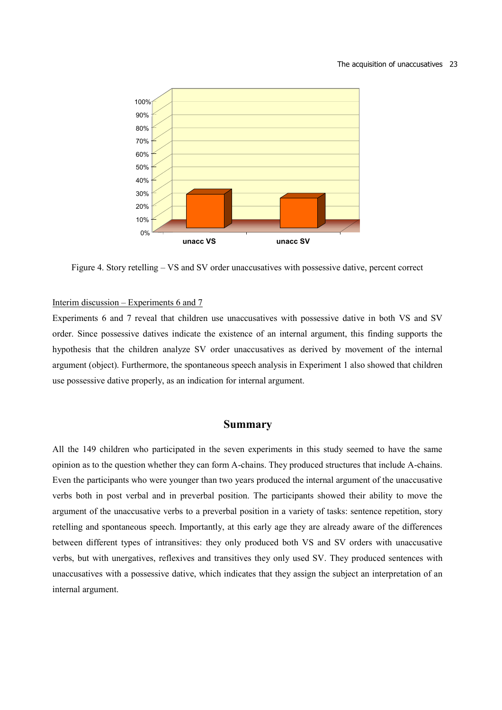

Figure 4. Story retelling – VS and SV order unaccusatives with possessive dative, percent correct

## Interim discussion – Experiments 6 and 7

Experiments 6 and 7 reveal that children use unaccusatives with possessive dative in both VS and SV order. Since possessive datives indicate the existence of an internal argument, this finding supports the hypothesis that the children analyze SV order unaccusatives as derived by movement of the internal argument (object). Furthermore, the spontaneous speech analysis in Experiment 1 also showed that children use possessive dative properly, as an indication for internal argument.

# **Summary**

All the 149 children who participated in the seven experiments in this study seemed to have the same opinion as to the question whether they can form A-chains. They produced structures that include A-chains. Even the participants who were younger than two years produced the internal argument of the unaccusative verbs both in post verbal and in preverbal position. The participants showed their ability to move the argument of the unaccusative verbs to a preverbal position in a variety of tasks: sentence repetition, story retelling and spontaneous speech. Importantly, at this early age they are already aware of the differences between different types of intransitives: they only produced both VS and SV orders with unaccusative verbs, but with unergatives, reflexives and transitives they only used SV. They produced sentences with unaccusatives with a possessive dative, which indicates that they assign the subject an interpretation of an internal argument.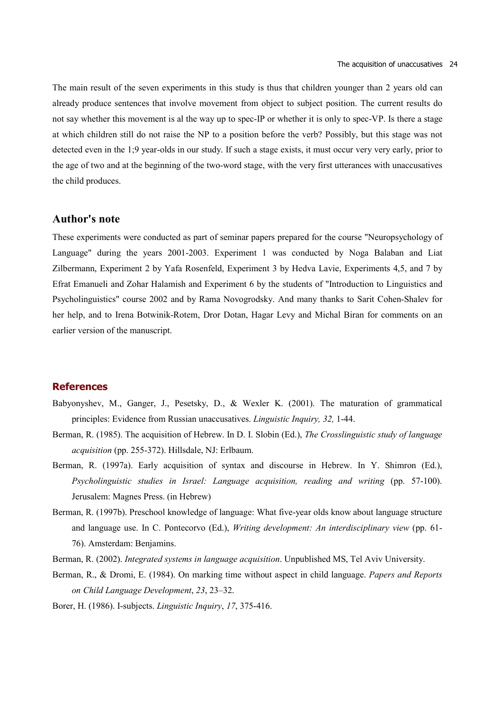The main result of the seven experiments in this study is thus that children younger than 2 years old can already produce sentences that involve movement from object to subject position. The current results do not say whether this movement is al the way up to spec-IP or whether it is only to spec-VP. Is there a stage at which children still do not raise the NP to a position before the verb? Possibly, but this stage was not detected even in the 1;9 year-olds in our study. If such a stage exists, it must occur very very early, prior to the age of two and at the beginning of the two-word stage, with the very first utterances with unaccusatives the child produces.

# **Author's note**

These experiments were conducted as part of seminar papers prepared for the course "Neuropsychology of Language" during the years 2001-2003. Experiment 1 was conducted by Noga Balaban and Liat Zilbermann, Experiment 2 by Yafa Rosenfeld, Experiment 3 by Hedva Lavie, Experiments 4,5, and 7 by Efrat Emanueli and Zohar Halamish and Experiment 6 by the students of "Introduction to Linguistics and Psycholinguistics" course 2002 and by Rama Novogrodsky. And many thanks to Sarit Cohen-Shalev for her help, and to Irena Botwinik-Rotem, Dror Dotan, Hagar Levy and Michal Biran for comments on an earlier version of the manuscript.

## **References**

- Babyonyshev, M., Ganger, J., Pesetsky, D., & Wexler K. (2001). The maturation of grammatical principles: Evidence from Russian unaccusatives. *Linguistic Inquiry, 32,* 1-44.
- Berman, R. (1985). The acquisition of Hebrew. In D. I. Slobin (Ed.), *The Crosslinguistic study of language acquisition* (pp. 255-372). Hillsdale, NJ: Erlbaum.
- Berman, R. (1997a). Early acquisition of syntax and discourse in Hebrew. In Y. Shimron (Ed.), *Psycholinguistic studies in Israel: Language acquisition, reading and writing* (pp. 57-100). Jerusalem: Magnes Press. (in Hebrew)
- Berman, R. (1997b). Preschool knowledge of language: What five-year olds know about language structure and language use. In C. Pontecorvo (Ed.), *Writing development: An interdisciplinary view* (pp. 61- 76). Amsterdam: Benjamins.
- Berman, R. (2002). *Integrated systems in language acquisition*. Unpublished MS, Tel Aviv University.
- Berman, R., & Dromi, E. (1984). On marking time without aspect in child language. *Papers and Reports on Child Language Development*, *23*, 23–32.
- Borer, H. (1986). I-subjects. *Linguistic Inquiry*, *17*, 375-416.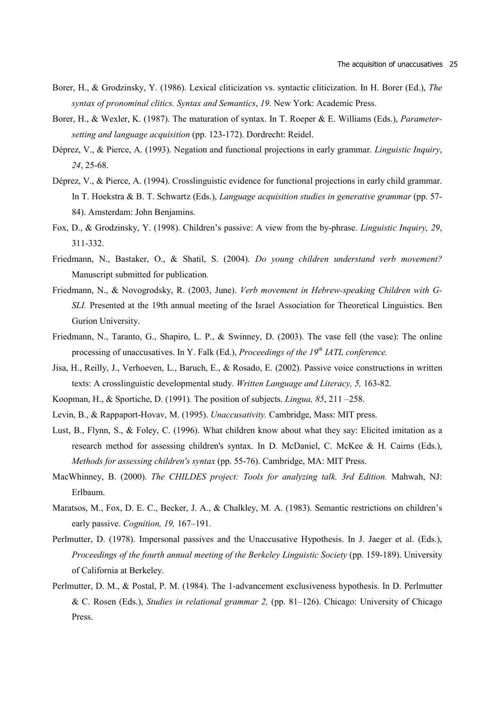- Borer, H., & Grodzinsky, Y. (1986). Lexical cliticization vs. syntactic cliticization. In H. Borer (Ed.), *The syntax of pronominal clitics. Syntax and Semantics*, *19*. New York: Academic Press.
- Borer, H., & Wexler, K. (1987). The maturation of syntax. In T. Roeper & E. Williams (Eds.), *Parametersetting and language acquisition* (pp. 123-172). Dordrecht: Reidel.
- Déprez, V., & Pierce, A. (1993). Negation and functional projections in early grammar. *Linguistic Inquiry*, *24*, 25-68.
- Déprez, V., & Pierce, A. (1994). Crosslinguistic evidence for functional projections in early child grammar. In T. Hoekstra & B. T. Schwartz (Eds.), *Language acquisition studies in generative grammar* (pp. 57- 84). Amsterdam: John Benjamins.
- Fox, D., & Grodzinsky, Y. (1998). Children's passive: A view from the by-phrase. *Linguistic Inquiry, 29*, 311-332.
- Friedmann, N., Bastaker, O., & Shatil, S. (2004). *Do young children understand verb movement?* Manuscript submitted for publication*.*
- Friedmann, N., & Novogrodsky, R. (2003, June). *Verb movement in Hebrew-speaking Children with G-SLI.* Presented at the 19th annual meeting of the Israel Association for Theoretical Linguistics. Ben Gurion University.
- Friedmann, N., Taranto, G., Shapiro, L. P., & Swinney, D. (2003). The vase fell (the vase): The online processing of unaccusatives. In Y. Falk (Ed.), *Proceedings of the 19th IATL conference.*
- Jisa, H., Reilly, J., Verhoeven, L., Baruch, E., & Rosado, E. (2002). Passive voice constructions in written texts: A crosslinguistic developmental study. *Written Language and Literacy, 5,* 163-82.
- Koopman, H., & Sportiche, D. (1991)*.* The position of subjects. *Lingua, 85*, 211 –258.
- Levin, B., & Rappaport-Hovav, M. (1995). *Unaccusativity.* Cambridge, Mass: MIT press.
- Lust, B., Flynn, S., & Foley, C. (1996). What children know about what they say: Elicited imitation as a research method for assessing children's syntax. In D. McDaniel, C. McKee & H. Cairns (Eds.), *Methods for assessing children's syntax* (pp. 55-76). Cambridge, MA: MIT Press.
- MacWhinney, B. (2000). *The CHILDES project: Tools for analyzing talk. 3rd Edition.* Mahwah, NJ: Erlbaum.
- Maratsos, M., Fox, D. E. C., Becker, J. A., & Chalkley, M. A. (1983). Semantic restrictions on children's early passive. *Cognition, 19,* 167–191.
- Perlmutter, D. (1978). Impersonal passives and the Unaccusative Hypothesis. In J. Jaeger et al. (Eds.), *Proceedings of the fourth annual meeting of the Berkeley Linguistic Society* (pp. 159-189). University of California at Berkeley.
- Perlmutter, D. M., & Postal, P. M. (1984). The 1-advancement exclusiveness hypothesis. In D. Perlmutter & C. Rosen (Eds.), *Studies in relational grammar 2,* (pp. 81–126). Chicago: University of Chicago Press.